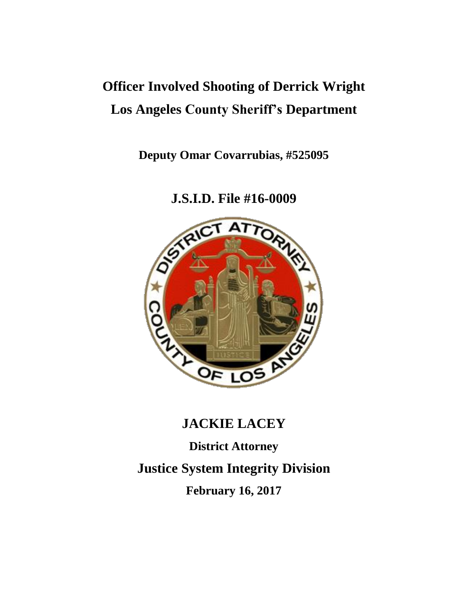# **Officer Involved Shooting of Derrick Wright Los Angeles County Sheriff's Department**

**Deputy Omar Covarrubias, #525095**

**J.S.I.D. File #16-0009**



# **JACKIE LACEY**

**District Attorney Justice System Integrity Division February 16, 2017**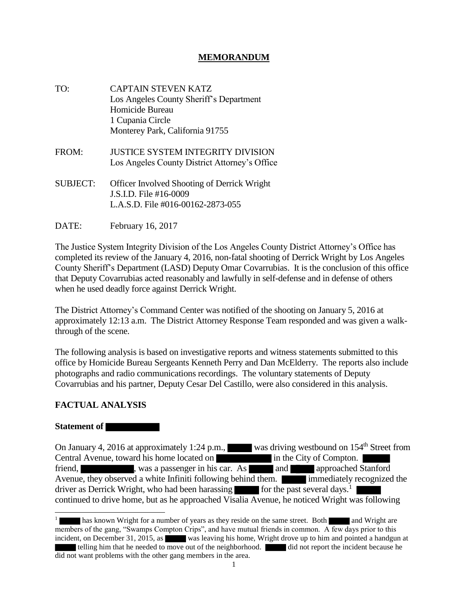## **MEMORANDUM**

- TO: CAPTAIN STEVEN KATZ Los Angeles County Sheriff's Department Homicide Bureau 1 Cupania Circle Monterey Park, California 91755
- FROM: JUSTICE SYSTEM INTEGRITY DIVISION Los Angeles County District Attorney's Office
- SUBJECT: Officer Involved Shooting of Derrick Wright J.S.I.D. File #16-0009 L.A.S.D. File #016-00162-2873-055
- DATE: February 16, 2017

The Justice System Integrity Division of the Los Angeles County District Attorney's Office has completed its review of the January 4, 2016, non-fatal shooting of Derrick Wright by Los Angeles County Sheriff's Department (LASD) Deputy Omar Covarrubias. It is the conclusion of this office that Deputy Covarrubias acted reasonably and lawfully in self-defense and in defense of others when he used deadly force against Derrick Wright.

The District Attorney's Command Center was notified of the shooting on January 5, 2016 at approximately 12:13 a.m. The District Attorney Response Team responded and was given a walkthrough of the scene.

The following analysis is based on investigative reports and witness statements submitted to this office by Homicide Bureau Sergeants Kenneth Perry and Dan McElderry. The reports also include photographs and radio communications recordings. The voluntary statements of Deputy Covarrubias and his partner, Deputy Cesar Del Castillo, were also considered in this analysis.

#### **FACTUAL ANALYSIS**

#### **Statement of**

On January 4, 2016 at approximately 1:24 p.m., was driving westbound on 154<sup>th</sup> Street from Central Avenue, toward his home located on in the City of Compton. friend, was a passenger in his car. As and approached Stanford Avenue, they observed a white Infiniti following behind them. **immediately recognized the** driver as Derrick Wright, who had been harassing for the past several days.<sup>1</sup> continued to drive home, but as he approached Visalia Avenue, he noticed Wright was following

has known Wright for a number of years as they reside on the same street. Both and Wright are members of the gang, "Swamps Compton Crips", and have mutual friends in common. A few days prior to this incident, on December 31, 2015, as was leaving his home, Wright drove up to him and pointed a handgun at telling him that he needed to move out of the neighborhood. did not report the incident because he did not want problems with the other gang members in the area.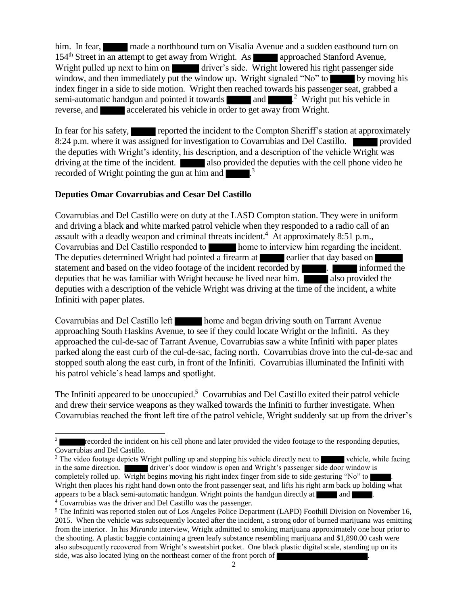him. In fear, made a northbound turn on Visalia Avenue and a sudden eastbound turn on 154<sup>th</sup> Street in an attempt to get away from Wright. As approached Stanford Avenue, Wright pulled up next to him on driver's side. Wright lowered his right passenger side. window, and then immediately put the window up. Wright signaled "No" to by moving his index finger in a side to side motion. Wright then reached towards his passenger seat, grabbed a semi-automatic handgun and pointed it towards  $\blacksquare$  and  $\blacksquare$ .<sup>2</sup> Wright put his vehicle in reverse, and accelerated his vehicle in order to get away from Wright.

In fear for his safety, reported the incident to the Compton Sheriff's station at approximately 8:24 p.m. where it was assigned for investigation to Covarrubias and Del Castillo. **provided** the deputies with Wright's identity, his description, and a description of the vehicle Wright was driving at the time of the incident. also provided the deputies with the cell phone video he recorded of Wright pointing the gun at him and  $\sim$ <sup>3</sup>.

# **Deputies Omar Covarrubias and Cesar Del Castillo**

 $\overline{\phantom{a}}$ 

Covarrubias and Del Castillo were on duty at the LASD Compton station. They were in uniform and driving a black and white marked patrol vehicle when they responded to a radio call of an assault with a deadly weapon and criminal threats incident.<sup>4</sup> At approximately 8:51 p.m., Covarrubias and Del Castillo responded to home to interview him regarding the incident. The deputies determined Wright had pointed a firearm at earlier that day based on statement and based on the video footage of the incident recorded by **informed the** deputies that he was familiar with Wright because he lived near him.  $\overline{\phantom{a}}$  also provided the deputies with a description of the vehicle Wright was driving at the time of the incident, a white Infiniti with paper plates.

Covarrubias and Del Castillo left home and began driving south on Tarrant Avenue approaching South Haskins Avenue, to see if they could locate Wright or the Infiniti. As they approached the cul-de-sac of Tarrant Avenue, Covarrubias saw a white Infiniti with paper plates parked along the east curb of the cul-de-sac, facing north. Covarrubias drove into the cul-de-sac and stopped south along the east curb, in front of the Infiniti. Covarrubias illuminated the Infiniti with his patrol vehicle's head lamps and spotlight.

The Infiniti appeared to be unoccupied.<sup>5</sup> Covarrubias and Del Castillo exited their patrol vehicle and drew their service weapons as they walked towards the Infiniti to further investigate. When Covarrubias reached the front left tire of the patrol vehicle, Wright suddenly sat up from the driver's

<sup>2</sup> recorded the incident on his cell phone and later provided the video footage to the responding deputies, Covarrubias and Del Castillo.

<sup>&</sup>lt;sup>3</sup> The video footage depicts Wright pulling up and stopping his vehicle directly next to vehicle, while facing in the same direction. **details a** driver's door window is open and Wright's passenger side door window is completely rolled up. Wright begins moving his right index finger from side to side gesturing "No" to  $\blacksquare$ Wright then places his right hand down onto the front passenger seat, and lifts his right arm back up holding what appears to be a black semi-automatic handgun. Wright points the handgun directly at  $\Box$  and  $\Box$ <sup>4</sup> Covarrubias was the driver and Del Castillo was the passenger.

<sup>&</sup>lt;sup>5</sup> The Infiniti was reported stolen out of Los Angeles Police Department (LAPD) Foothill Division on November 16, 2015. When the vehicle was subsequently located after the incident, a strong odor of burned marijuana was emitting from the interior. In his *Miranda* interview, Wright admitted to smoking marijuana approximately one hour prior to the shooting. A plastic baggie containing a green leafy substance resembling marijuana and \$1,890.00 cash were also subsequently recovered from Wright's sweatshirt pocket. One black plastic digital scale, standing up on its side, was also located lying on the northeast corner of the front porch of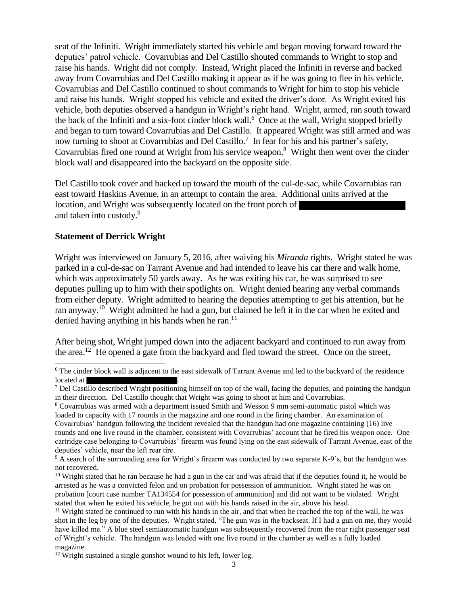seat of the Infiniti. Wright immediately started his vehicle and began moving forward toward the deputies' patrol vehicle. Covarrubias and Del Castillo shouted commands to Wright to stop and raise his hands. Wright did not comply. Instead, Wright placed the Infiniti in reverse and backed away from Covarrubias and Del Castillo making it appear as if he was going to flee in his vehicle. Covarrubias and Del Castillo continued to shout commands to Wright for him to stop his vehicle and raise his hands. Wright stopped his vehicle and exited the driver's door. As Wright exited his vehicle, both deputies observed a handgun in Wright's right hand. Wright, armed, ran south toward the back of the Infiniti and a six-foot cinder block wall.<sup>6</sup> Once at the wall, Wright stopped briefly and began to turn toward Covarrubias and Del Castillo. It appeared Wright was still armed and was now turning to shoot at Covarrubias and Del Castillo.<sup>7</sup> In fear for his and his partner's safety, Covarrubias fired one round at Wright from his service weapon.<sup>8</sup> Wright then went over the cinder block wall and disappeared into the backyard on the opposite side.

Del Castillo took cover and backed up toward the mouth of the cul-de-sac, while Covarrubias ran east toward Haskins Avenue, in an attempt to contain the area. Additional units arrived at the location, and Wright was subsequently located on the front porch of and taken into custody.<sup>9</sup>

#### **Statement of Derrick Wright**

 $\overline{a}$ 

Wright was interviewed on January 5, 2016, after waiving his *Miranda* rights. Wright stated he was parked in a cul-de-sac on Tarrant Avenue and had intended to leave his car there and walk home, which was approximately 50 yards away. As he was exiting his car, he was surprised to see deputies pulling up to him with their spotlights on. Wright denied hearing any verbal commands from either deputy. Wright admitted to hearing the deputies attempting to get his attention, but he ran anyway.<sup>10</sup> Wright admitted he had a gun, but claimed he left it in the car when he exited and denied having anything in his hands when he ran. $11$ 

After being shot, Wright jumped down into the adjacent backyard and continued to run away from the area.<sup>12</sup> He opened a gate from the backyard and fled toward the street. Once on the street,

<sup>&</sup>lt;sup>6</sup> The cinder block wall is adjacent to the east sidewalk of Tarrant Avenue and led to the backyard of the residence located at  $\blacksquare$ 

 $<sup>7</sup>$  Del Castillo described Wright positioning himself on top of the wall, facing the deputies, and pointing the handgun</sup> in their direction. Del Castillo thought that Wright was going to shoot at him and Covarrubias.

<sup>8</sup> Covarrubias was armed with a department issued Smith and Wesson 9 mm semi-automatic pistol which was loaded to capacity with 17 rounds in the magazine and one round in the firing chamber. An examination of Covarrubias' handgun following the incident revealed that the handgun had one magazine containing (16) live rounds and one live round in the chamber, consistent with Covarrubias' account that he fired his weapon once. One cartridge case belonging to Covarrubias' firearm was found lying on the east sidewalk of Tarrant Avenue, east of the deputies' vehicle, near the left rear tire.

<sup>&</sup>lt;sup>9</sup> A search of the surrounding area for Wright's firearm was conducted by two separate K-9's, but the handgun was not recovered.

 $10$  Wright stated that he ran because he had a gun in the car and was afraid that if the deputies found it, he would be arrested as he was a convicted felon and on probation for possession of ammunition. Wright stated he was on probation [court case number TA134554 for possession of ammunition] and did not want to be violated. Wright stated that when he exited his vehicle, he got out with his hands raised in the air, above his head.

 $11$  Wright stated he continued to run with his hands in the air, and that when he reached the top of the wall, he was shot in the leg by one of the deputies. Wright stated, "The gun was in the backseat. If I had a gun on me, they would have killed me." A blue steel semiautomatic handgun was subsequently recovered from the rear right passenger seat of Wright's vehicle. The handgun was loaded with one live round in the chamber as well as a fully loaded magazine.

<sup>&</sup>lt;sup>12</sup> Wright sustained a single gunshot wound to his left, lower leg.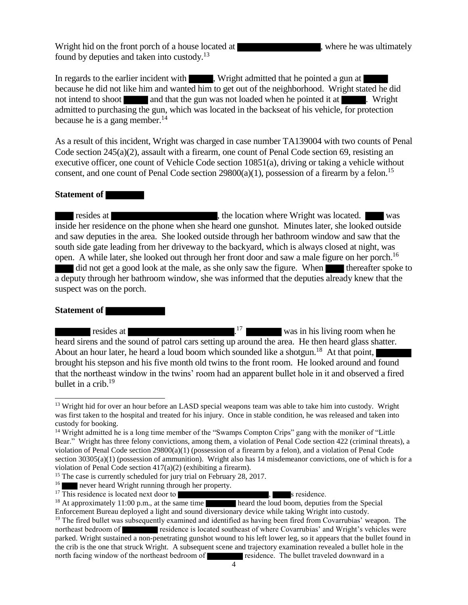Wright hid on the front porch of a house located at , where he was ultimately found by deputies and taken into custody.<sup>13</sup>

In regards to the earlier incident with , Wright admitted that he pointed a gun at because he did not like him and wanted him to get out of the neighborhood. Wright stated he did not intend to shoot and that the gun was not loaded when he pointed it at . Wright admitted to purchasing the gun, which was located in the backseat of his vehicle, for protection because he is a gang member.<sup>14</sup>

As a result of this incident, Wright was charged in case number TA139004 with two counts of Penal Code section 245(a)(2), assault with a firearm, one count of Penal Code section 69, resisting an executive officer, one count of Vehicle Code section 10851(a), driving or taking a vehicle without consent, and one count of Penal Code section  $29800(a)(1)$ , possession of a firearm by a felon.<sup>15</sup>

#### **Statement of**

resides at  $\blacksquare$ , the location where Wright was located. We was inside her residence on the phone when she heard one gunshot. Minutes later, she looked outside and saw deputies in the area. She looked outside through her bathroom window and saw that the south side gate leading from her driveway to the backyard, which is always closed at night, was open. A while later, she looked out through her front door and saw a male figure on her porch.<sup>16</sup> did not get a good look at the male, as she only saw the figure. When thereafter spoke to a deputy through her bathroom window, she was informed that the deputies already knew that the suspect was on the porch.

#### **Statement of**

 $\overline{\phantom{a}}$ 

resides at  $1^{17}$  was in his living room when he heard sirens and the sound of patrol cars setting up around the area. He then heard glass shatter. About an hour later, he heard a loud boom which sounded like a shotgun.<sup>18</sup> At that point, brought his stepson and his five month old twins to the front room. He looked around and found that the northeast window in the twins' room had an apparent bullet hole in it and observed a fired bullet in a crib. 19

<sup>&</sup>lt;sup>13</sup> Wright hid for over an hour before an LASD special weapons team was able to take him into custody. Wright was first taken to the hospital and treated for his injury. Once in stable condition, he was released and taken into custody for booking.

<sup>&</sup>lt;sup>14</sup> Wright admitted he is a long time member of the "Swamps Compton Crips" gang with the moniker of "Little" Bear." Wright has three felony convictions, among them, a violation of Penal Code section 422 (criminal threats), a violation of Penal Code section 29800(a)(1) (possession of a firearm by a felon), and a violation of Penal Code section 30305(a)(1) (possession of ammunition). Wright also has 14 misdemeanor convictions, one of which is for a violation of Penal Code section 417(a)(2) (exhibiting a firearm).

<sup>&</sup>lt;sup>15</sup> The case is currently scheduled for jury trial on February 28, 2017.

<sup>16</sup> never heard Wright running through her property.

 $17$  This residence is located next door to  $\overline{\phantom{a}}$ , s residence.

<sup>&</sup>lt;sup>18</sup> At approximately 11:00 p.m., at the same time heard the loud boom, deputies from the Special

Enforcement Bureau deployed a light and sound diversionary device while taking Wright into custody. <sup>19</sup> The fired bullet was subsequently examined and identified as having been fired from Covarrubias' weapon. The northeast bedroom of **residence** is located southeast of where Covarrubias' and Wright's vehicles were parked. Wright sustained a non-penetrating gunshot wound to his left lower leg, so it appears that the bullet found in the crib is the one that struck Wright. A subsequent scene and trajectory examination revealed a bullet hole in the north facing window of the northeast bedroom of **residence**. The bullet traveled downward in a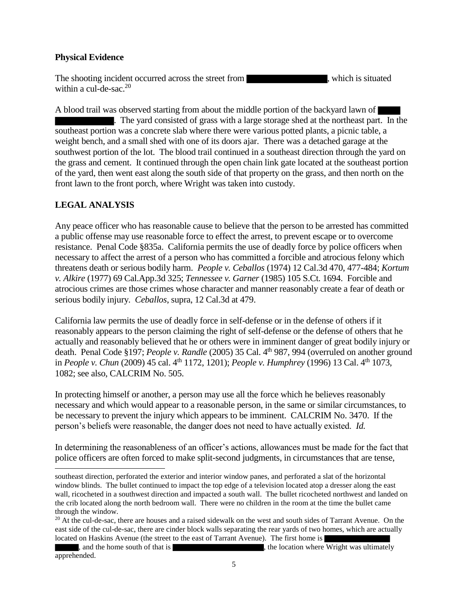## **Physical Evidence**

The shooting incident occurred across the street from , which is situated within a cul-de-sac.<sup>20</sup>

A blood trail was observed starting from about the middle portion of the backyard lawn of . The yard consisted of grass with a large storage shed at the northeast part. In the southeast portion was a concrete slab where there were various potted plants, a picnic table, a weight bench, and a small shed with one of its doors ajar. There was a detached garage at the southwest portion of the lot. The blood trail continued in a southeast direction through the yard on the grass and cement. It continued through the open chain link gate located at the southeast portion of the yard, then went east along the south side of that property on the grass, and then north on the front lawn to the front porch, where Wright was taken into custody.

# **LEGAL ANALYSIS**

 $\overline{a}$ 

Any peace officer who has reasonable cause to believe that the person to be arrested has committed a public offense may use reasonable force to effect the arrest, to prevent escape or to overcome resistance. Penal Code §835a. California permits the use of deadly force by police officers when necessary to affect the arrest of a person who has committed a forcible and atrocious felony which threatens death or serious bodily harm. *People v. Ceballos* (1974) 12 Cal.3d 470, 477-484; *Kortum v. Alkire* (1977) 69 Cal.App.3d 325; *Tennessee v. Garner* (1985) 105 S.Ct. 1694. Forcible and atrocious crimes are those crimes whose character and manner reasonably create a fear of death or serious bodily injury. *Ceballos*, supra, 12 Cal.3d at 479.

California law permits the use of deadly force in self-defense or in the defense of others if it reasonably appears to the person claiming the right of self-defense or the defense of others that he actually and reasonably believed that he or others were in imminent danger of great bodily injury or death. Penal Code §197; *People v. Randle* (2005) 35 Cal. 4<sup>th</sup> 987, 994 (overruled on another ground in *People v. Chun* (2009) 45 cal. 4<sup>th</sup> 1172, 1201); *People v. Humphrey* (1996) 13 Cal. 4<sup>th</sup> 1073, 1082; see also, CALCRIM No. 505.

In protecting himself or another, a person may use all the force which he believes reasonably necessary and which would appear to a reasonable person, in the same or similar circumstances, to be necessary to prevent the injury which appears to be imminent. CALCRIM No. 3470. If the person's beliefs were reasonable, the danger does not need to have actually existed. *Id.* 

In determining the reasonableness of an officer's actions, allowances must be made for the fact that police officers are often forced to make split-second judgments, in circumstances that are tense,

southeast direction, perforated the exterior and interior window panes, and perforated a slat of the horizontal window blinds. The bullet continued to impact the top edge of a television located atop a dresser along the east wall, ricocheted in a southwest direction and impacted a south wall. The bullet ricocheted northwest and landed on the crib located along the north bedroom wall. There were no children in the room at the time the bullet came through the window.

 $20$  At the cul-de-sac, there are houses and a raised sidewalk on the west and south sides of Tarrant Avenue. On the east side of the cul-de-sac, there are cinder block walls separating the rear yards of two homes, which are actually located on Haskins Avenue (the street to the east of Tarrant Avenue). The first home is

<sup>,</sup> and the home south of that is , the location where Wright was ultimately apprehended.